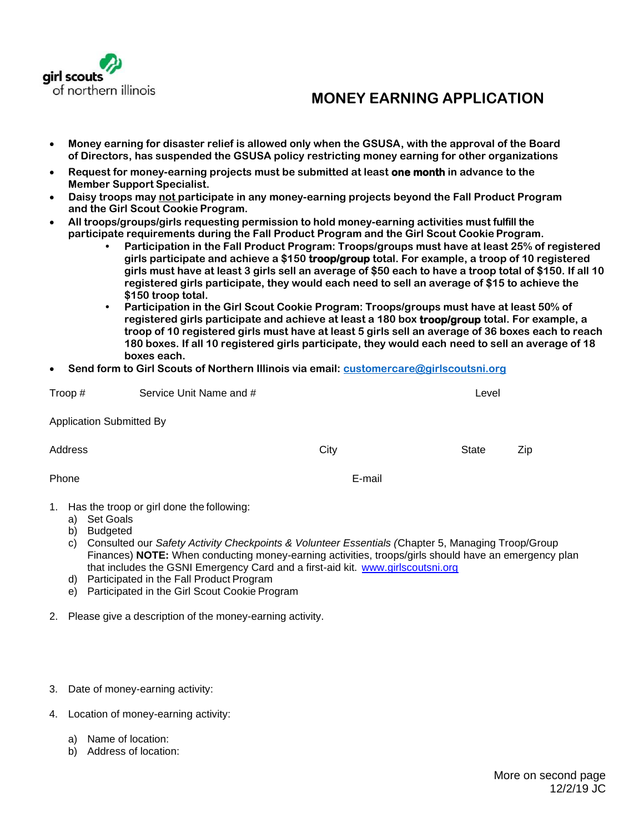

## **MONEY EARNING APPLICATION**

- **Money earning for disaster relief is allowed only when the GSUSA, with the approval of the Board of Directors, has suspended the GSUSA policy restricting money earning for other organizations**
- **Request for money-earning projects must be submitted at least one month in advance to the Member Support Specialist.**
- **Daisy troops may not participate in any money-earning projects beyond the Fall Product Program and the Girl Scout Cookie Program.**
- **All troops/groups/girls requesting permission to hold money-earning activities must fulfill the participate requirements during the Fall Product Program and the Girl Scout Cookie Program.**
	- **• Participation in the Fall Product Program: Troops/groups must have at least 25% of registered girls participate and achieve a \$150 troop/group total. For example, a troop of 10 registered girls must have at least 3 girls sell an average of \$50 each to have a troop total of \$150. If all 10 registered girls participate, they would each need to sell an average of \$15 to achieve the \$150 troop total.**
	- **• Participation in the Girl Scout Cookie Program: Troops/groups must have at least 50% of registered girls participate and achieve at least a 180 box troop/group total. For example, a troop of 10 registered girls must have at least 5 girls sell an average of 36 boxes each to reach 180 boxes. If all 10 registered girls participate, they would each need to sell an average of 18 boxes each.**
- **Send form to Girl Scouts of Northern Illinois via email: [customercare@girlscoutsni.org](mailto:customercare@girlscoutsni.org)**

| Troop $#$                       | Service Unit Name and #                      |      |        | Level        |     |  |
|---------------------------------|----------------------------------------------|------|--------|--------------|-----|--|
| <b>Application Submitted By</b> |                                              |      |        |              |     |  |
| Address                         |                                              | City |        | <b>State</b> | Zip |  |
| Phone                           |                                              |      | E-mail |              |     |  |
| Set Goals<br>a)                 | 1. Has the troop or girl done the following: |      |        |              |     |  |

- b) Budgeted
- c) Consulted our *Safety Activity Checkpoints & Volunteer Essentials (*Chapter 5, Managing Troop/Group Finances) **NOTE:** When conducting money-earning activities, troops/girls should have an emergency plan that includes the GSNI Emergency Card and a first-aid kit. [www.girlscoutsni.org](http://www.girlscoutsni.org/)
- d) Participated in the Fall Product Program
- e) Participated in the Girl Scout Cookie Program
- 2. Please give a description of the money-earning activity.
- 3. Date of money-earning activity:
- 4. Location of money-earning activity:
	- a) Name of location:
	- b) Address of location: